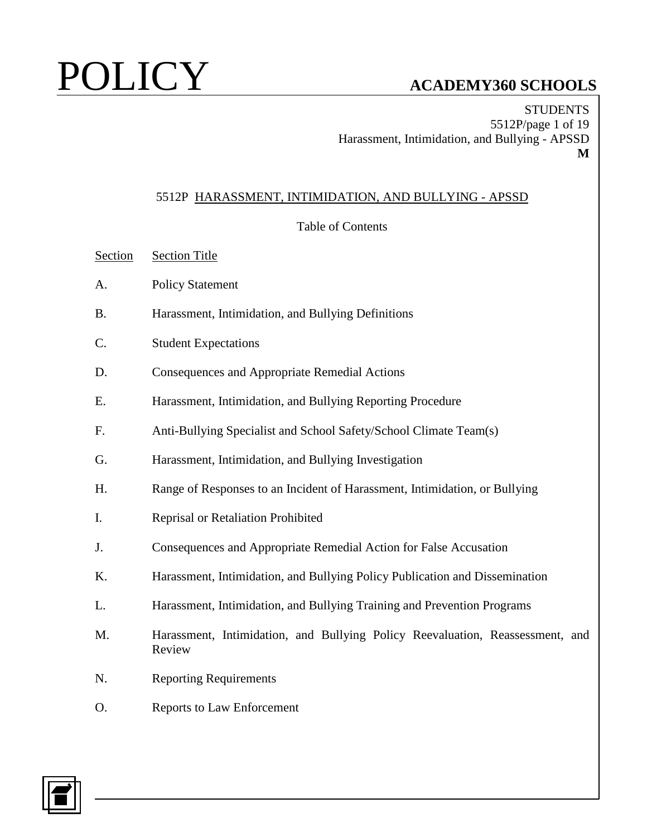**STUDENTS** 5512P/page 1 of 19 Harassment, Intimidation, and Bullying - APSSD **M**

## 5512P HARASSMENT, INTIMIDATION, AND BULLYING - APSSD

## Table of Contents

- Section Section Title
- A. Policy Statement
- B. Harassment, Intimidation, and Bullying Definitions
- C. Student Expectations
- D. Consequences and Appropriate Remedial Actions
- E. Harassment, Intimidation, and Bullying Reporting Procedure
- F. Anti-Bullying Specialist and School Safety/School Climate Team(s)
- G. Harassment, Intimidation, and Bullying Investigation
- H. Range of Responses to an Incident of Harassment, Intimidation, or Bullying
- I. Reprisal or Retaliation Prohibited
- J. Consequences and Appropriate Remedial Action for False Accusation
- K. Harassment, Intimidation, and Bullying Policy Publication and Dissemination
- L. Harassment, Intimidation, and Bullying Training and Prevention Programs
- M. Harassment, Intimidation, and Bullying Policy Reevaluation, Reassessment, and Review
- N. Reporting Requirements
- O. Reports to Law Enforcement

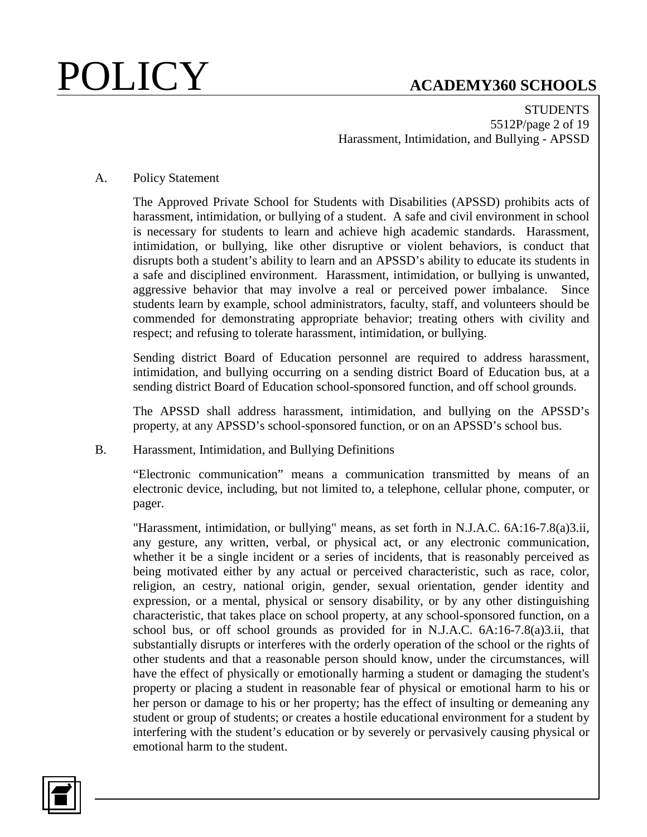**STUDENTS** 5512P/page 2 of 19 Harassment, Intimidation, and Bullying - APSSD

## A. Policy Statement

The Approved Private School for Students with Disabilities (APSSD) prohibits acts of harassment, intimidation, or bullying of a student. A safe and civil environment in school is necessary for students to learn and achieve high academic standards. Harassment, intimidation, or bullying, like other disruptive or violent behaviors, is conduct that disrupts both a student's ability to learn and an APSSD's ability to educate its students in a safe and disciplined environment. Harassment, intimidation, or bullying is unwanted, aggressive behavior that may involve a real or perceived power imbalance. Since students learn by example, school administrators, faculty, staff, and volunteers should be commended for demonstrating appropriate behavior; treating others with civility and respect; and refusing to tolerate harassment, intimidation, or bullying.

Sending district Board of Education personnel are required to address harassment, intimidation, and bullying occurring on a sending district Board of Education bus, at a sending district Board of Education school-sponsored function, and off school grounds.

The APSSD shall address harassment, intimidation, and bullying on the APSSD's property, at any APSSD's school-sponsored function, or on an APSSD's school bus.

## B. Harassment, Intimidation, and Bullying Definitions

"Electronic communication" means a communication transmitted by means of an electronic device, including, but not limited to, a telephone, cellular phone, computer, or pager.

"Harassment, intimidation, or bullying" means, as set forth in N.J.A.C. 6A:16-7.8(a)3.ii, any gesture, any written, verbal, or physical act, or any electronic communication, whether it be a single incident or a series of incidents, that is reasonably perceived as being motivated either by any actual or perceived characteristic, such as race, color, religion, an cestry, national origin, gender, sexual orientation, gender identity and expression, or a mental, physical or sensory disability, or by any other distinguishing characteristic, that takes place on school property, at any school-sponsored function, on a school bus, or off school grounds as provided for in N.J.A.C. 6A:16-7.8(a)3.ii, that substantially disrupts or interferes with the orderly operation of the school or the rights of other students and that a reasonable person should know, under the circumstances, will have the effect of physically or emotionally harming a student or damaging the student's property or placing a student in reasonable fear of physical or emotional harm to his or her person or damage to his or her property; has the effect of insulting or demeaning any student or group of students; or creates a hostile educational environment for a student by interfering with the student's education or by severely or pervasively causing physical or emotional harm to the student.

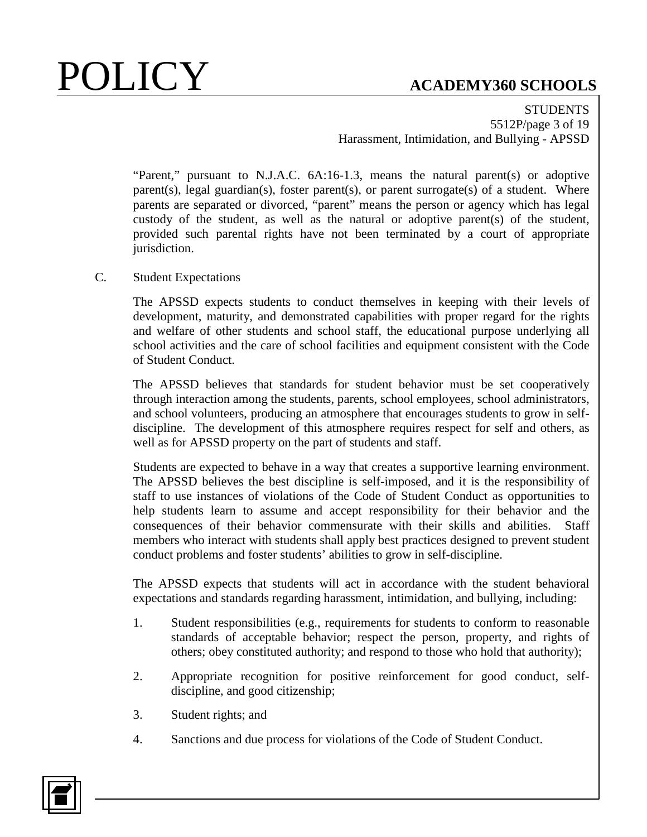**STUDENTS** 5512P/page 3 of 19 Harassment, Intimidation, and Bullying - APSSD

"Parent," pursuant to N.J.A.C. 6A:16-1.3, means the natural parent(s) or adoptive parent(s), legal guardian(s), foster parent(s), or parent surrogate(s) of a student. Where parents are separated or divorced, "parent" means the person or agency which has legal custody of the student, as well as the natural or adoptive parent(s) of the student, provided such parental rights have not been terminated by a court of appropriate jurisdiction.

## C. Student Expectations

The APSSD expects students to conduct themselves in keeping with their levels of development, maturity, and demonstrated capabilities with proper regard for the rights and welfare of other students and school staff, the educational purpose underlying all school activities and the care of school facilities and equipment consistent with the Code of Student Conduct.

The APSSD believes that standards for student behavior must be set cooperatively through interaction among the students, parents, school employees, school administrators, and school volunteers, producing an atmosphere that encourages students to grow in selfdiscipline. The development of this atmosphere requires respect for self and others, as well as for APSSD property on the part of students and staff.

Students are expected to behave in a way that creates a supportive learning environment. The APSSD believes the best discipline is self-imposed, and it is the responsibility of staff to use instances of violations of the Code of Student Conduct as opportunities to help students learn to assume and accept responsibility for their behavior and the consequences of their behavior commensurate with their skills and abilities. Staff members who interact with students shall apply best practices designed to prevent student conduct problems and foster students' abilities to grow in self-discipline.

The APSSD expects that students will act in accordance with the student behavioral expectations and standards regarding harassment, intimidation, and bullying, including:

- 1. Student responsibilities (e.g., requirements for students to conform to reasonable standards of acceptable behavior; respect the person, property, and rights of others; obey constituted authority; and respond to those who hold that authority);
- 2. Appropriate recognition for positive reinforcement for good conduct, selfdiscipline, and good citizenship;
- 3. Student rights; and
- 4. Sanctions and due process for violations of the Code of Student Conduct.

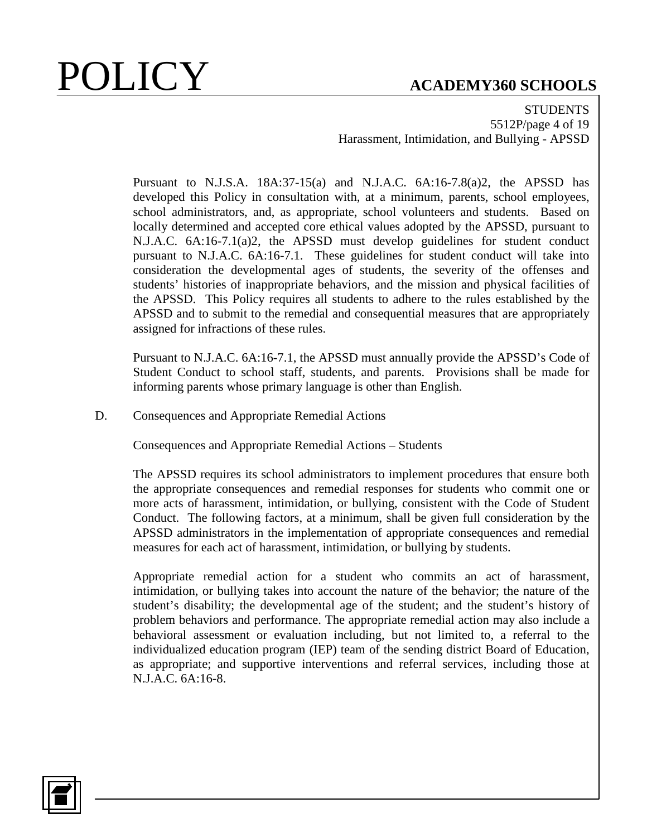**STUDENTS** 5512P/page 4 of 19 Harassment, Intimidation, and Bullying - APSSD

Pursuant to N.J.S.A. 18A:37-15(a) and N.J.A.C. 6A:16-7.8(a)2, the APSSD has developed this Policy in consultation with, at a minimum, parents, school employees, school administrators, and, as appropriate, school volunteers and students. Based on locally determined and accepted core ethical values adopted by the APSSD, pursuant to N.J.A.C. 6A:16-7.1(a)2, the APSSD must develop guidelines for student conduct pursuant to N.J.A.C. 6A:16-7.1. These guidelines for student conduct will take into consideration the developmental ages of students, the severity of the offenses and students' histories of inappropriate behaviors, and the mission and physical facilities of the APSSD. This Policy requires all students to adhere to the rules established by the APSSD and to submit to the remedial and consequential measures that are appropriately assigned for infractions of these rules.

Pursuant to N.J.A.C. 6A:16-7.1, the APSSD must annually provide the APSSD's Code of Student Conduct to school staff, students, and parents. Provisions shall be made for informing parents whose primary language is other than English.

D. Consequences and Appropriate Remedial Actions

Consequences and Appropriate Remedial Actions – Students

The APSSD requires its school administrators to implement procedures that ensure both the appropriate consequences and remedial responses for students who commit one or more acts of harassment, intimidation, or bullying, consistent with the Code of Student Conduct. The following factors, at a minimum, shall be given full consideration by the APSSD administrators in the implementation of appropriate consequences and remedial measures for each act of harassment, intimidation, or bullying by students.

Appropriate remedial action for a student who commits an act of harassment, intimidation, or bullying takes into account the nature of the behavior; the nature of the student's disability; the developmental age of the student; and the student's history of problem behaviors and performance. The appropriate remedial action may also include a behavioral assessment or evaluation including, but not limited to, a referral to the individualized education program (IEP) team of the sending district Board of Education, as appropriate; and supportive interventions and referral services, including those at N.J.A.C. 6A:16-8.

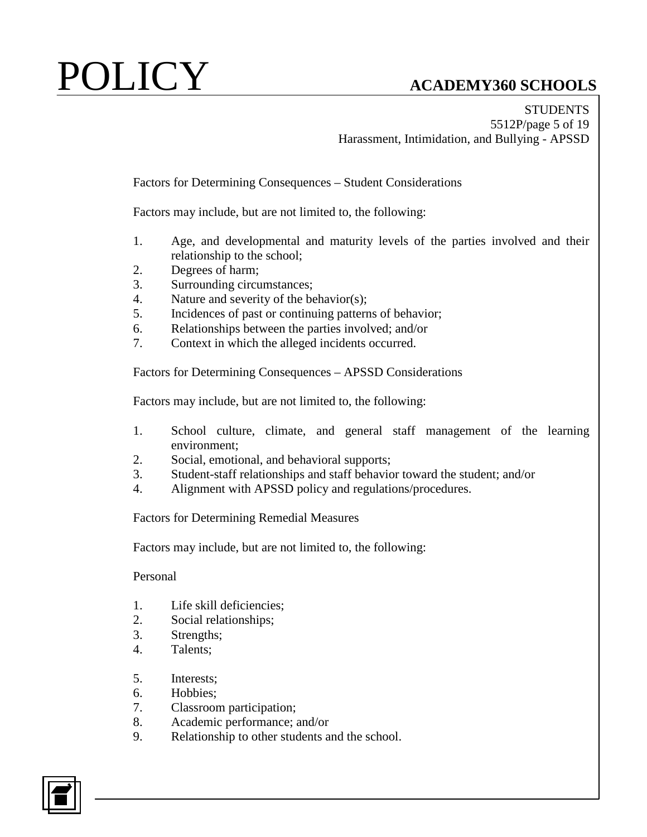**STUDENTS** 5512P/page 5 of 19 Harassment, Intimidation, and Bullying - APSSD

Factors for Determining Consequences – Student Considerations

Factors may include, but are not limited to, the following:

- 1. Age, and developmental and maturity levels of the parties involved and their relationship to the school;
- 2. Degrees of harm;
- 3. Surrounding circumstances;
- 4. Nature and severity of the behavior(s);
- 5. Incidences of past or continuing patterns of behavior;
- 6. Relationships between the parties involved; and/or
- 7. Context in which the alleged incidents occurred.

Factors for Determining Consequences – APSSD Considerations

Factors may include, but are not limited to, the following:

- 1. School culture, climate, and general staff management of the learning environment;
- 2. Social, emotional, and behavioral supports;
- 3. Student-staff relationships and staff behavior toward the student; and/or
- 4. Alignment with APSSD policy and regulations/procedures.

Factors for Determining Remedial Measures

Factors may include, but are not limited to, the following:

Personal

- 1. Life skill deficiencies;
- 2. Social relationships;
- 3. Strengths;
- 4. Talents;
- 5. Interests;
- 6. Hobbies;
- 7. Classroom participation;
- 8. Academic performance; and/or
- 9. Relationship to other students and the school.

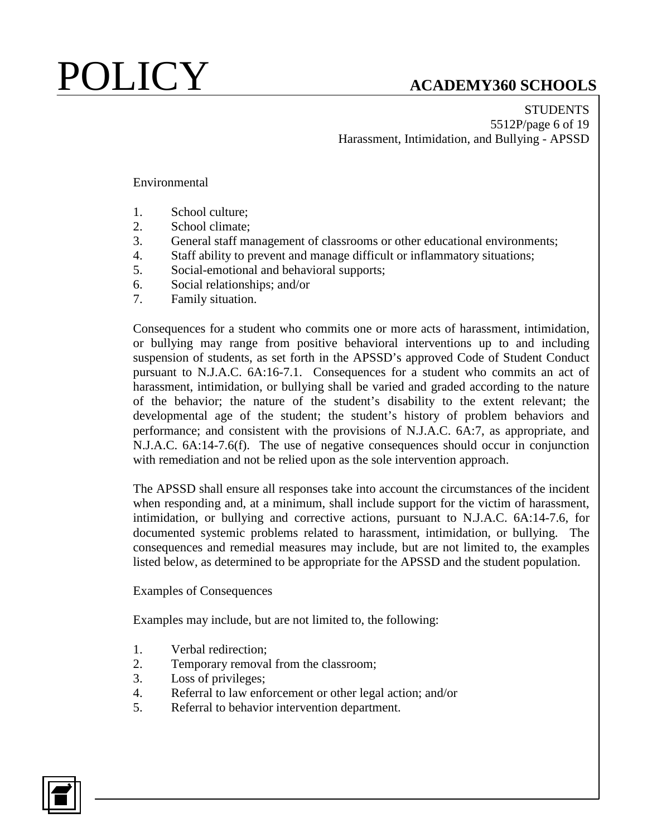**STUDENTS** 5512P/page 6 of 19 Harassment, Intimidation, and Bullying - APSSD

Environmental

- 1. School culture;
- 2. School climate;
- 3. General staff management of classrooms or other educational environments;
- 4. Staff ability to prevent and manage difficult or inflammatory situations;
- 5. Social-emotional and behavioral supports;
- 6. Social relationships; and/or
- 7. Family situation.

Consequences for a student who commits one or more acts of harassment, intimidation, or bullying may range from positive behavioral interventions up to and including suspension of students, as set forth in the APSSD's approved Code of Student Conduct pursuant to N.J.A.C. 6A:16-7.1. Consequences for a student who commits an act of harassment, intimidation, or bullying shall be varied and graded according to the nature of the behavior; the nature of the student's disability to the extent relevant; the developmental age of the student; the student's history of problem behaviors and performance; and consistent with the provisions of N.J.A.C. 6A:7, as appropriate, and N.J.A.C. 6A:14-7.6(f). The use of negative consequences should occur in conjunction with remediation and not be relied upon as the sole intervention approach.

The APSSD shall ensure all responses take into account the circumstances of the incident when responding and, at a minimum, shall include support for the victim of harassment, intimidation, or bullying and corrective actions, pursuant to N.J.A.C. 6A:14-7.6, for documented systemic problems related to harassment, intimidation, or bullying. The consequences and remedial measures may include, but are not limited to, the examples listed below, as determined to be appropriate for the APSSD and the student population.

Examples of Consequences

Examples may include, but are not limited to, the following:

- 1. Verbal redirection;
- 2. Temporary removal from the classroom;
- 3. Loss of privileges;
- 4. Referral to law enforcement or other legal action; and/or
- 5. Referral to behavior intervention department.

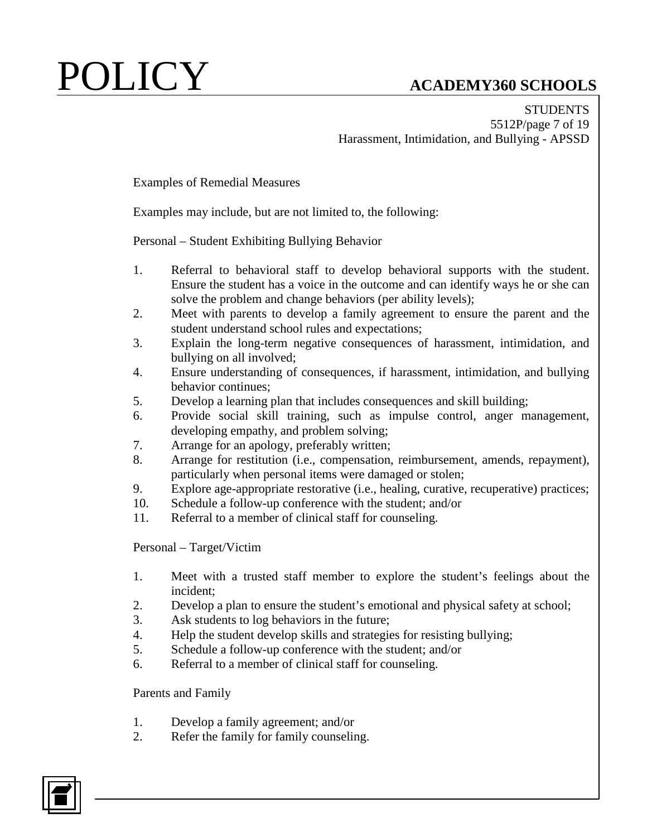**STUDENTS** 5512P/page 7 of 19 Harassment, Intimidation, and Bullying - APSSD

Examples of Remedial Measures

Examples may include, but are not limited to, the following:

Personal – Student Exhibiting Bullying Behavior

- 1. Referral to behavioral staff to develop behavioral supports with the student. Ensure the student has a voice in the outcome and can identify ways he or she can solve the problem and change behaviors (per ability levels);
- 2. Meet with parents to develop a family agreement to ensure the parent and the student understand school rules and expectations;
- 3. Explain the long-term negative consequences of harassment, intimidation, and bullying on all involved;
- 4. Ensure understanding of consequences, if harassment, intimidation, and bullying behavior continues;
- 5. Develop a learning plan that includes consequences and skill building;
- 6. Provide social skill training, such as impulse control, anger management, developing empathy, and problem solving;
- 7. Arrange for an apology, preferably written;
- 8. Arrange for restitution (i.e., compensation, reimbursement, amends, repayment), particularly when personal items were damaged or stolen;
- 9. Explore age-appropriate restorative (i.e., healing, curative, recuperative) practices;
- 10. Schedule a follow-up conference with the student; and/or
- 11. Referral to a member of clinical staff for counseling.

Personal – Target/Victim

- 1. Meet with a trusted staff member to explore the student's feelings about the incident;
- 2. Develop a plan to ensure the student's emotional and physical safety at school;
- 3. Ask students to log behaviors in the future;
- 4. Help the student develop skills and strategies for resisting bullying;
- 5. Schedule a follow-up conference with the student; and/or
- 6. Referral to a member of clinical staff for counseling.

Parents and Family

- 1. Develop a family agreement; and/or
- 2. Refer the family for family counseling.

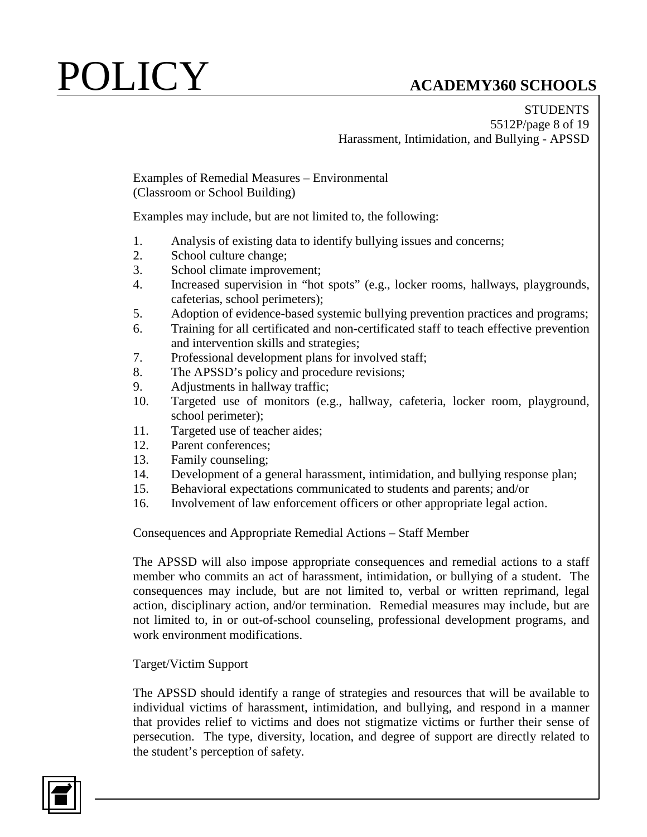**STUDENTS** 5512P/page 8 of 19 Harassment, Intimidation, and Bullying - APSSD

Examples of Remedial Measures – Environmental (Classroom or School Building)

Examples may include, but are not limited to, the following:

- 1. Analysis of existing data to identify bullying issues and concerns;
- 2. School culture change;
- 3. School climate improvement;
- 4. Increased supervision in "hot spots" (e.g., locker rooms, hallways, playgrounds, cafeterias, school perimeters);
- 5. Adoption of evidence-based systemic bullying prevention practices and programs;
- 6. Training for all certificated and non-certificated staff to teach effective prevention and intervention skills and strategies;
- 7. Professional development plans for involved staff;
- 8. The APSSD's policy and procedure revisions;
- 9. Adjustments in hallway traffic;
- 10. Targeted use of monitors (e.g., hallway, cafeteria, locker room, playground, school perimeter);
- 11. Targeted use of teacher aides;
- 12. Parent conferences;
- 13. Family counseling;
- 14. Development of a general harassment, intimidation, and bullying response plan;
- 15. Behavioral expectations communicated to students and parents; and/or
- 16. Involvement of law enforcement officers or other appropriate legal action.

Consequences and Appropriate Remedial Actions – Staff Member

The APSSD will also impose appropriate consequences and remedial actions to a staff member who commits an act of harassment, intimidation, or bullying of a student. The consequences may include, but are not limited to, verbal or written reprimand, legal action, disciplinary action, and/or termination. Remedial measures may include, but are not limited to, in or out-of-school counseling, professional development programs, and work environment modifications.

## Target/Victim Support

The APSSD should identify a range of strategies and resources that will be available to individual victims of harassment, intimidation, and bullying, and respond in a manner that provides relief to victims and does not stigmatize victims or further their sense of persecution. The type, diversity, location, and degree of support are directly related to the student's perception of safety.

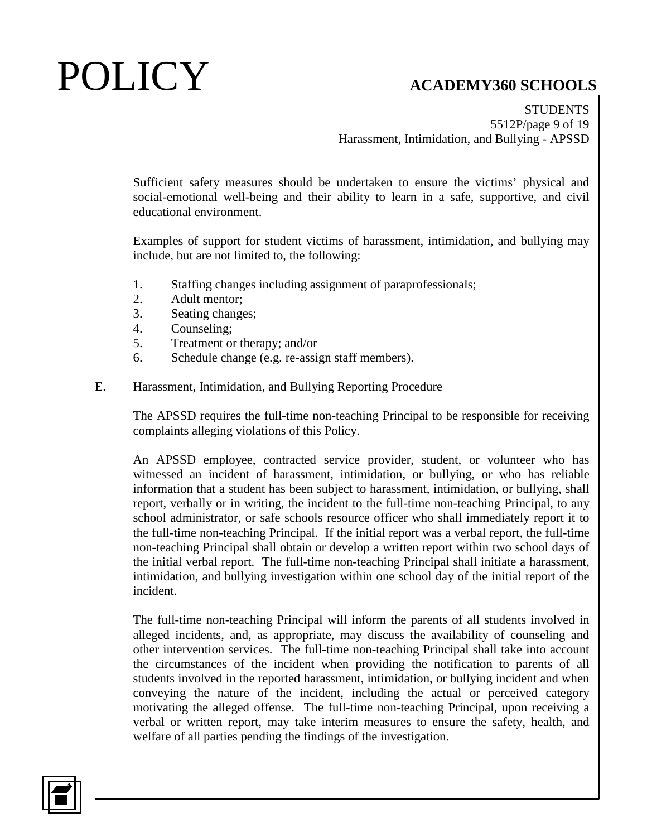**STUDENTS** 5512P/page 9 of 19 Harassment, Intimidation, and Bullying - APSSD

Sufficient safety measures should be undertaken to ensure the victims' physical and social-emotional well-being and their ability to learn in a safe, supportive, and civil educational environment.

Examples of support for student victims of harassment, intimidation, and bullying may include, but are not limited to, the following:

- 1. Staffing changes including assignment of paraprofessionals;
- 2. Adult mentor;
- 3. Seating changes;
- 4. Counseling;
- 5. Treatment or therapy; and/or
- 6. Schedule change (e.g. re-assign staff members).
- E. Harassment, Intimidation, and Bullying Reporting Procedure

The APSSD requires the full-time non-teaching Principal to be responsible for receiving complaints alleging violations of this Policy.

An APSSD employee, contracted service provider, student, or volunteer who has witnessed an incident of harassment, intimidation, or bullying, or who has reliable information that a student has been subject to harassment, intimidation, or bullying, shall report, verbally or in writing, the incident to the full-time non-teaching Principal, to any school administrator, or safe schools resource officer who shall immediately report it to the full-time non-teaching Principal. If the initial report was a verbal report, the full-time non-teaching Principal shall obtain or develop a written report within two school days of the initial verbal report. The full-time non-teaching Principal shall initiate a harassment, intimidation, and bullying investigation within one school day of the initial report of the incident.

The full-time non-teaching Principal will inform the parents of all students involved in alleged incidents, and, as appropriate, may discuss the availability of counseling and other intervention services. The full-time non-teaching Principal shall take into account the circumstances of the incident when providing the notification to parents of all students involved in the reported harassment, intimidation, or bullying incident and when conveying the nature of the incident, including the actual or perceived category motivating the alleged offense. The full-time non-teaching Principal, upon receiving a verbal or written report, may take interim measures to ensure the safety, health, and welfare of all parties pending the findings of the investigation.

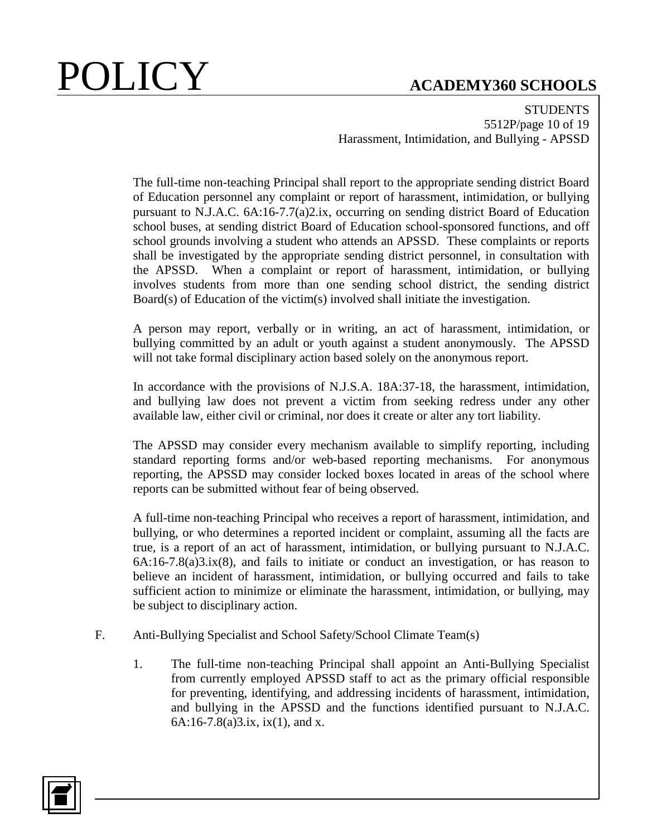**STUDENTS** 5512P/page 10 of 19 Harassment, Intimidation, and Bullying - APSSD

The full-time non-teaching Principal shall report to the appropriate sending district Board of Education personnel any complaint or report of harassment, intimidation, or bullying pursuant to N.J.A.C. 6A:16-7.7(a)2.ix, occurring on sending district Board of Education school buses, at sending district Board of Education school-sponsored functions, and off school grounds involving a student who attends an APSSD. These complaints or reports shall be investigated by the appropriate sending district personnel, in consultation with the APSSD. When a complaint or report of harassment, intimidation, or bullying involves students from more than one sending school district, the sending district Board(s) of Education of the victim(s) involved shall initiate the investigation.

A person may report, verbally or in writing, an act of harassment, intimidation, or bullying committed by an adult or youth against a student anonymously. The APSSD will not take formal disciplinary action based solely on the anonymous report.

In accordance with the provisions of N.J.S.A. 18A:37-18, the harassment, intimidation, and bullying law does not prevent a victim from seeking redress under any other available law, either civil or criminal, nor does it create or alter any tort liability.

The APSSD may consider every mechanism available to simplify reporting, including standard reporting forms and/or web-based reporting mechanisms. For anonymous reporting, the APSSD may consider locked boxes located in areas of the school where reports can be submitted without fear of being observed.

A full-time non-teaching Principal who receives a report of harassment, intimidation, and bullying, or who determines a reported incident or complaint, assuming all the facts are true, is a report of an act of harassment, intimidation, or bullying pursuant to N.J.A.C.  $6A:16-7.8(a)3.ix(8)$ , and fails to initiate or conduct an investigation, or has reason to believe an incident of harassment, intimidation, or bullying occurred and fails to take sufficient action to minimize or eliminate the harassment, intimidation, or bullying, may be subject to disciplinary action.

- F. Anti-Bullying Specialist and School Safety/School Climate Team(s)
	- 1. The full-time non-teaching Principal shall appoint an Anti-Bullying Specialist from currently employed APSSD staff to act as the primary official responsible for preventing, identifying, and addressing incidents of harassment, intimidation, and bullying in the APSSD and the functions identified pursuant to N.J.A.C.  $6A:16-7.8(a)3.ix, ix(1), and x.$

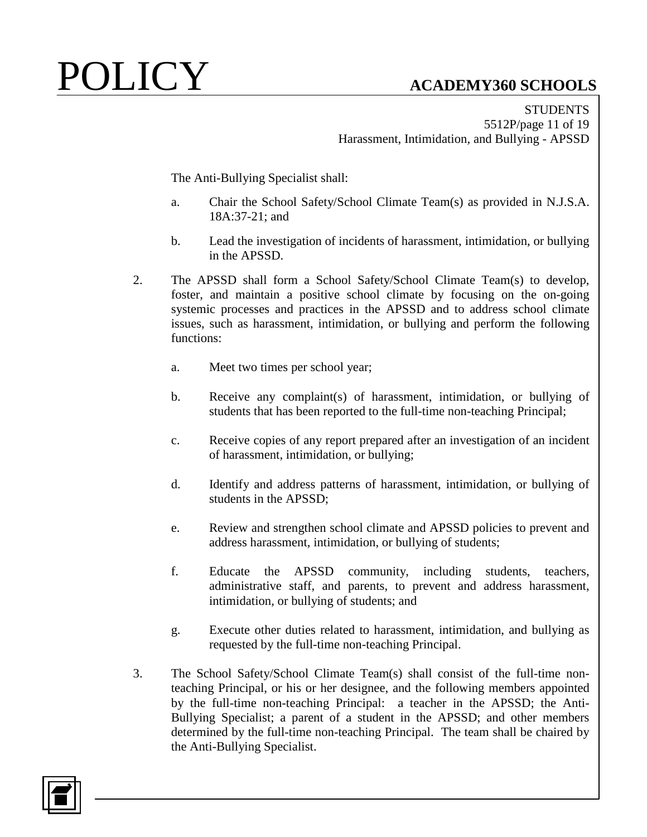**STUDENTS** 5512P/page 11 of 19 Harassment, Intimidation, and Bullying - APSSD

The Anti-Bullying Specialist shall:

- a. Chair the School Safety/School Climate Team(s) as provided in N.J.S.A. 18A:37-21; and
- b. Lead the investigation of incidents of harassment, intimidation, or bullying in the APSSD.
- 2. The APSSD shall form a School Safety/School Climate Team(s) to develop, foster, and maintain a positive school climate by focusing on the on-going systemic processes and practices in the APSSD and to address school climate issues, such as harassment, intimidation, or bullying and perform the following functions:
	- a. Meet two times per school year;
	- b. Receive any complaint(s) of harassment, intimidation, or bullying of students that has been reported to the full-time non-teaching Principal;
	- c. Receive copies of any report prepared after an investigation of an incident of harassment, intimidation, or bullying;
	- d. Identify and address patterns of harassment, intimidation, or bullying of students in the APSSD;
	- e. Review and strengthen school climate and APSSD policies to prevent and address harassment, intimidation, or bullying of students;
	- f. Educate the APSSD community, including students, teachers, administrative staff, and parents, to prevent and address harassment, intimidation, or bullying of students; and
	- g. Execute other duties related to harassment, intimidation, and bullying as requested by the full-time non-teaching Principal.
- 3. The School Safety/School Climate Team(s) shall consist of the full-time nonteaching Principal, or his or her designee, and the following members appointed by the full-time non-teaching Principal: a teacher in the APSSD; the Anti-Bullying Specialist; a parent of a student in the APSSD; and other members determined by the full-time non-teaching Principal. The team shall be chaired by the Anti-Bullying Specialist.

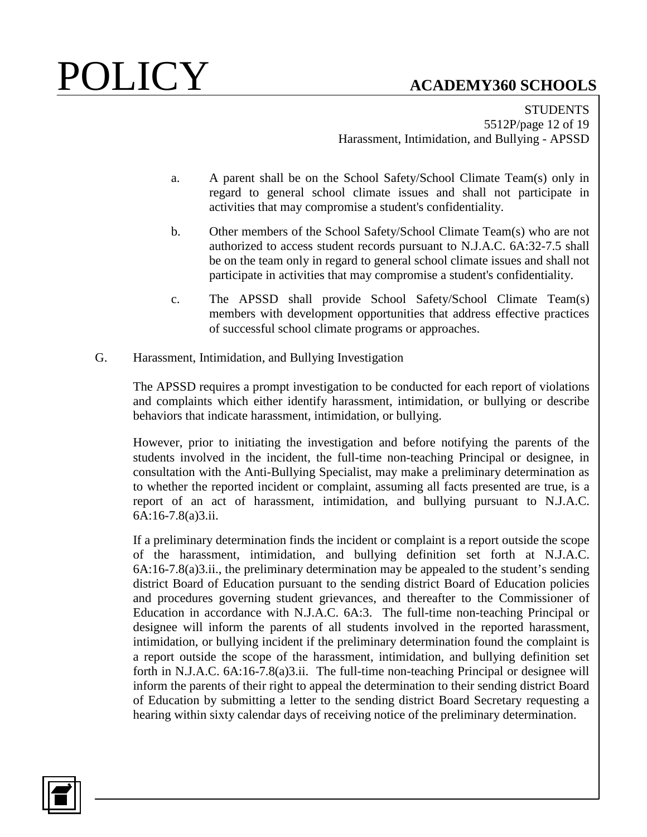STUDENTS 5512P/page 12 of 19 Harassment, Intimidation, and Bullying - APSSD

- a. A parent shall be on the School Safety/School Climate Team(s) only in regard to general school climate issues and shall not participate in activities that may compromise a student's confidentiality.
- b. Other members of the School Safety/School Climate Team(s) who are not authorized to access student records pursuant to N.J.A.C. 6A:32-7.5 shall be on the team only in regard to general school climate issues and shall not participate in activities that may compromise a student's confidentiality.
- c. The APSSD shall provide School Safety/School Climate Team(s) members with development opportunities that address effective practices of successful school climate programs or approaches.
- G. Harassment, Intimidation, and Bullying Investigation

The APSSD requires a prompt investigation to be conducted for each report of violations and complaints which either identify harassment, intimidation, or bullying or describe behaviors that indicate harassment, intimidation, or bullying.

However, prior to initiating the investigation and before notifying the parents of the students involved in the incident, the full-time non-teaching Principal or designee, in consultation with the Anti-Bullying Specialist, may make a preliminary determination as to whether the reported incident or complaint, assuming all facts presented are true, is a report of an act of harassment, intimidation, and bullying pursuant to N.J.A.C. 6A:16-7.8(a)3.ii.

If a preliminary determination finds the incident or complaint is a report outside the scope of the harassment, intimidation, and bullying definition set forth at N.J.A.C. 6A:16-7.8(a)3.ii., the preliminary determination may be appealed to the student's sending district Board of Education pursuant to the sending district Board of Education policies and procedures governing student grievances, and thereafter to the Commissioner of Education in accordance with N.J.A.C. 6A:3. The full-time non-teaching Principal or designee will inform the parents of all students involved in the reported harassment, intimidation, or bullying incident if the preliminary determination found the complaint is a report outside the scope of the harassment, intimidation, and bullying definition set forth in N.J.A.C. 6A:16-7.8(a)3.ii. The full-time non-teaching Principal or designee will inform the parents of their right to appeal the determination to their sending district Board of Education by submitting a letter to the sending district Board Secretary requesting a hearing within sixty calendar days of receiving notice of the preliminary determination.

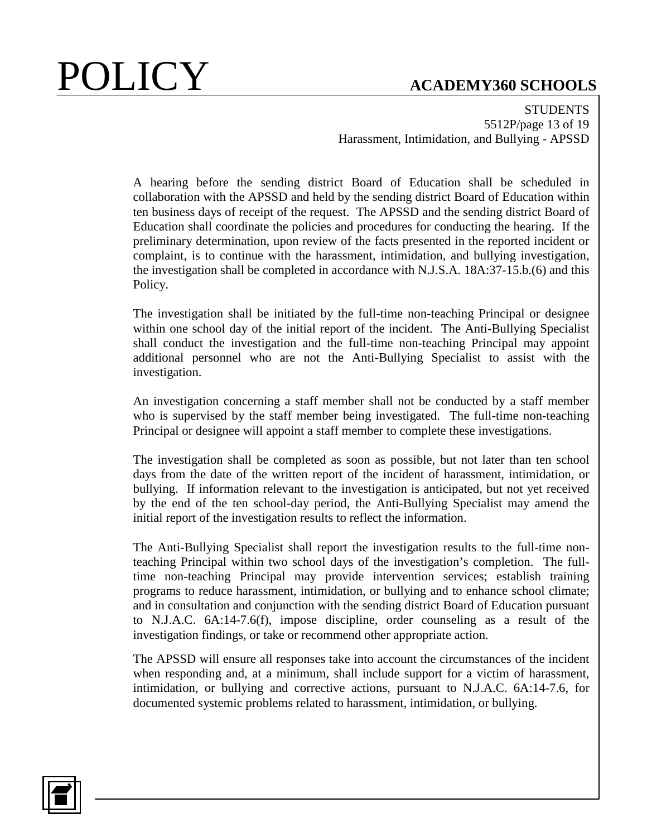**STUDENTS** 5512P/page 13 of 19 Harassment, Intimidation, and Bullying - APSSD

A hearing before the sending district Board of Education shall be scheduled in collaboration with the APSSD and held by the sending district Board of Education within ten business days of receipt of the request. The APSSD and the sending district Board of Education shall coordinate the policies and procedures for conducting the hearing. If the preliminary determination, upon review of the facts presented in the reported incident or complaint, is to continue with the harassment, intimidation, and bullying investigation, the investigation shall be completed in accordance with N.J.S.A. 18A:37-15.b.(6) and this Policy.

The investigation shall be initiated by the full-time non-teaching Principal or designee within one school day of the initial report of the incident. The Anti-Bullying Specialist shall conduct the investigation and the full-time non-teaching Principal may appoint additional personnel who are not the Anti-Bullying Specialist to assist with the investigation.

An investigation concerning a staff member shall not be conducted by a staff member who is supervised by the staff member being investigated. The full-time non-teaching Principal or designee will appoint a staff member to complete these investigations.

The investigation shall be completed as soon as possible, but not later than ten school days from the date of the written report of the incident of harassment, intimidation, or bullying. If information relevant to the investigation is anticipated, but not yet received by the end of the ten school-day period, the Anti-Bullying Specialist may amend the initial report of the investigation results to reflect the information.

The Anti-Bullying Specialist shall report the investigation results to the full-time nonteaching Principal within two school days of the investigation's completion. The fulltime non-teaching Principal may provide intervention services; establish training programs to reduce harassment, intimidation, or bullying and to enhance school climate; and in consultation and conjunction with the sending district Board of Education pursuant to N.J.A.C. 6A:14-7.6(f), impose discipline, order counseling as a result of the investigation findings, or take or recommend other appropriate action.

The APSSD will ensure all responses take into account the circumstances of the incident when responding and, at a minimum, shall include support for a victim of harassment, intimidation, or bullying and corrective actions, pursuant to N.J.A.C. 6A:14-7.6, for documented systemic problems related to harassment, intimidation, or bullying.

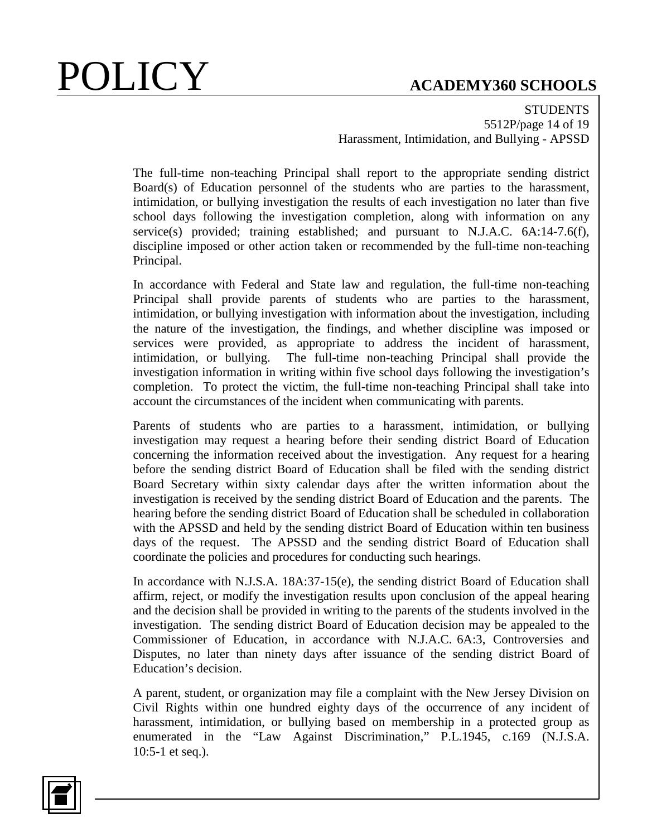**STUDENTS** 5512P/page 14 of 19 Harassment, Intimidation, and Bullying - APSSD

The full-time non-teaching Principal shall report to the appropriate sending district Board(s) of Education personnel of the students who are parties to the harassment, intimidation, or bullying investigation the results of each investigation no later than five school days following the investigation completion, along with information on any service(s) provided; training established; and pursuant to N.J.A.C. 6A:14-7.6(f), discipline imposed or other action taken or recommended by the full-time non-teaching Principal.

In accordance with Federal and State law and regulation, the full-time non-teaching Principal shall provide parents of students who are parties to the harassment, intimidation, or bullying investigation with information about the investigation, including the nature of the investigation, the findings, and whether discipline was imposed or services were provided, as appropriate to address the incident of harassment, intimidation, or bullying. The full-time non-teaching Principal shall provide the investigation information in writing within five school days following the investigation's completion. To protect the victim, the full-time non-teaching Principal shall take into account the circumstances of the incident when communicating with parents.

Parents of students who are parties to a harassment, intimidation, or bullying investigation may request a hearing before their sending district Board of Education concerning the information received about the investigation. Any request for a hearing before the sending district Board of Education shall be filed with the sending district Board Secretary within sixty calendar days after the written information about the investigation is received by the sending district Board of Education and the parents. The hearing before the sending district Board of Education shall be scheduled in collaboration with the APSSD and held by the sending district Board of Education within ten business days of the request. The APSSD and the sending district Board of Education shall coordinate the policies and procedures for conducting such hearings.

In accordance with N.J.S.A. 18A:37-15(e), the sending district Board of Education shall affirm, reject, or modify the investigation results upon conclusion of the appeal hearing and the decision shall be provided in writing to the parents of the students involved in the investigation. The sending district Board of Education decision may be appealed to the Commissioner of Education, in accordance with N.J.A.C. 6A:3, Controversies and Disputes, no later than ninety days after issuance of the sending district Board of Education's decision.

A parent, student, or organization may file a complaint with the New Jersey Division on Civil Rights within one hundred eighty days of the occurrence of any incident of harassment, intimidation, or bullying based on membership in a protected group as enumerated in the "Law Against Discrimination," P.L.1945, c.169 (N.J.S.A. 10:5-1 et seq.).

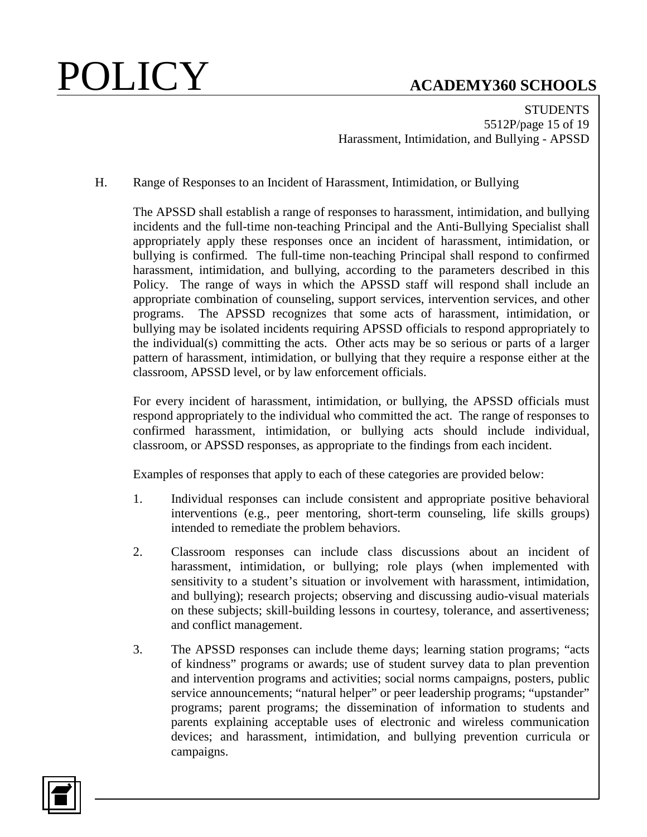**STUDENTS** 5512P/page 15 of 19 Harassment, Intimidation, and Bullying - APSSD

H. Range of Responses to an Incident of Harassment, Intimidation, or Bullying

The APSSD shall establish a range of responses to harassment, intimidation, and bullying incidents and the full-time non-teaching Principal and the Anti-Bullying Specialist shall appropriately apply these responses once an incident of harassment, intimidation, or bullying is confirmed. The full-time non-teaching Principal shall respond to confirmed harassment, intimidation, and bullying, according to the parameters described in this Policy. The range of ways in which the APSSD staff will respond shall include an appropriate combination of counseling, support services, intervention services, and other programs. The APSSD recognizes that some acts of harassment, intimidation, or bullying may be isolated incidents requiring APSSD officials to respond appropriately to the individual(s) committing the acts. Other acts may be so serious or parts of a larger pattern of harassment, intimidation, or bullying that they require a response either at the classroom, APSSD level, or by law enforcement officials.

For every incident of harassment, intimidation, or bullying, the APSSD officials must respond appropriately to the individual who committed the act. The range of responses to confirmed harassment, intimidation, or bullying acts should include individual, classroom, or APSSD responses, as appropriate to the findings from each incident.

Examples of responses that apply to each of these categories are provided below:

- 1. Individual responses can include consistent and appropriate positive behavioral interventions (e.g., peer mentoring, short-term counseling, life skills groups) intended to remediate the problem behaviors.
- 2. Classroom responses can include class discussions about an incident of harassment, intimidation, or bullying; role plays (when implemented with sensitivity to a student's situation or involvement with harassment, intimidation, and bullying); research projects; observing and discussing audio-visual materials on these subjects; skill-building lessons in courtesy, tolerance, and assertiveness; and conflict management.
- 3. The APSSD responses can include theme days; learning station programs; "acts of kindness" programs or awards; use of student survey data to plan prevention and intervention programs and activities; social norms campaigns, posters, public service announcements; "natural helper" or peer leadership programs; "upstander" programs; parent programs; the dissemination of information to students and parents explaining acceptable uses of electronic and wireless communication devices; and harassment, intimidation, and bullying prevention curricula or campaigns.

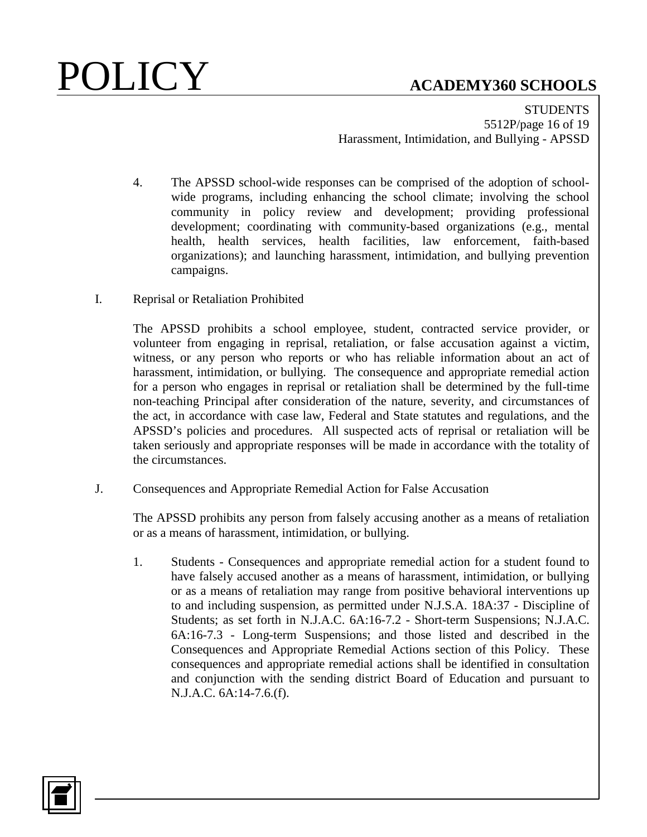**STUDENTS** 5512P/page 16 of 19 Harassment, Intimidation, and Bullying - APSSD

- 4. The APSSD school-wide responses can be comprised of the adoption of schoolwide programs, including enhancing the school climate; involving the school community in policy review and development; providing professional development; coordinating with community-based organizations (e.g., mental health, health services, health facilities, law enforcement, faith-based organizations); and launching harassment, intimidation, and bullying prevention campaigns.
- I. Reprisal or Retaliation Prohibited

The APSSD prohibits a school employee, student, contracted service provider, or volunteer from engaging in reprisal, retaliation, or false accusation against a victim, witness, or any person who reports or who has reliable information about an act of harassment, intimidation, or bullying. The consequence and appropriate remedial action for a person who engages in reprisal or retaliation shall be determined by the full-time non-teaching Principal after consideration of the nature, severity, and circumstances of the act, in accordance with case law, Federal and State statutes and regulations, and the APSSD's policies and procedures. All suspected acts of reprisal or retaliation will be taken seriously and appropriate responses will be made in accordance with the totality of the circumstances.

J. Consequences and Appropriate Remedial Action for False Accusation

The APSSD prohibits any person from falsely accusing another as a means of retaliation or as a means of harassment, intimidation, or bullying.

1. Students - Consequences and appropriate remedial action for a student found to have falsely accused another as a means of harassment, intimidation, or bullying or as a means of retaliation may range from positive behavioral interventions up to and including suspension, as permitted under N.J.S.A. 18A:37 - Discipline of Students; as set forth in N.J.A.C. 6A:16-7.2 - Short-term Suspensions; N.J.A.C. 6A:16-7.3 - Long-term Suspensions; and those listed and described in the Consequences and Appropriate Remedial Actions section of this Policy. These consequences and appropriate remedial actions shall be identified in consultation and conjunction with the sending district Board of Education and pursuant to N.J.A.C. 6A:14-7.6.(f).

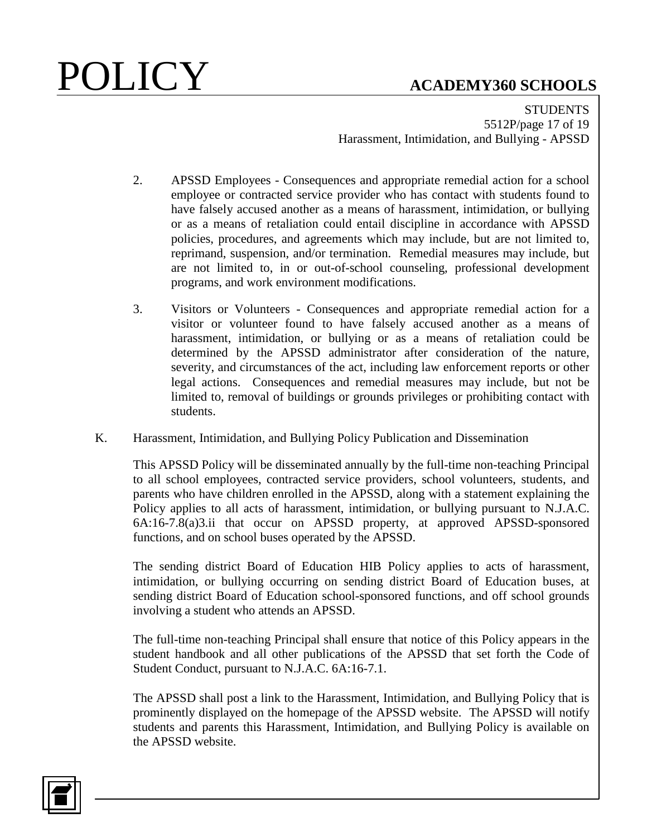**STUDENTS** 5512P/page 17 of 19 Harassment, Intimidation, and Bullying - APSSD

- 2. APSSD Employees Consequences and appropriate remedial action for a school employee or contracted service provider who has contact with students found to have falsely accused another as a means of harassment, intimidation, or bullying or as a means of retaliation could entail discipline in accordance with APSSD policies, procedures, and agreements which may include, but are not limited to, reprimand, suspension, and/or termination. Remedial measures may include, but are not limited to, in or out-of-school counseling, professional development programs, and work environment modifications.
- 3. Visitors or Volunteers Consequences and appropriate remedial action for a visitor or volunteer found to have falsely accused another as a means of harassment, intimidation, or bullying or as a means of retaliation could be determined by the APSSD administrator after consideration of the nature, severity, and circumstances of the act, including law enforcement reports or other legal actions. Consequences and remedial measures may include, but not be limited to, removal of buildings or grounds privileges or prohibiting contact with students.
- K. Harassment, Intimidation, and Bullying Policy Publication and Dissemination

This APSSD Policy will be disseminated annually by the full-time non-teaching Principal to all school employees, contracted service providers, school volunteers, students, and parents who have children enrolled in the APSSD, along with a statement explaining the Policy applies to all acts of harassment, intimidation, or bullying pursuant to N.J.A.C. 6A:16-7.8(a)3.ii that occur on APSSD property, at approved APSSD-sponsored functions, and on school buses operated by the APSSD.

The sending district Board of Education HIB Policy applies to acts of harassment, intimidation, or bullying occurring on sending district Board of Education buses, at sending district Board of Education school-sponsored functions, and off school grounds involving a student who attends an APSSD.

The full-time non-teaching Principal shall ensure that notice of this Policy appears in the student handbook and all other publications of the APSSD that set forth the Code of Student Conduct, pursuant to N.J.A.C. 6A:16-7.1.

The APSSD shall post a link to the Harassment, Intimidation, and Bullying Policy that is prominently displayed on the homepage of the APSSD website. The APSSD will notify students and parents this Harassment, Intimidation, and Bullying Policy is available on the APSSD website.

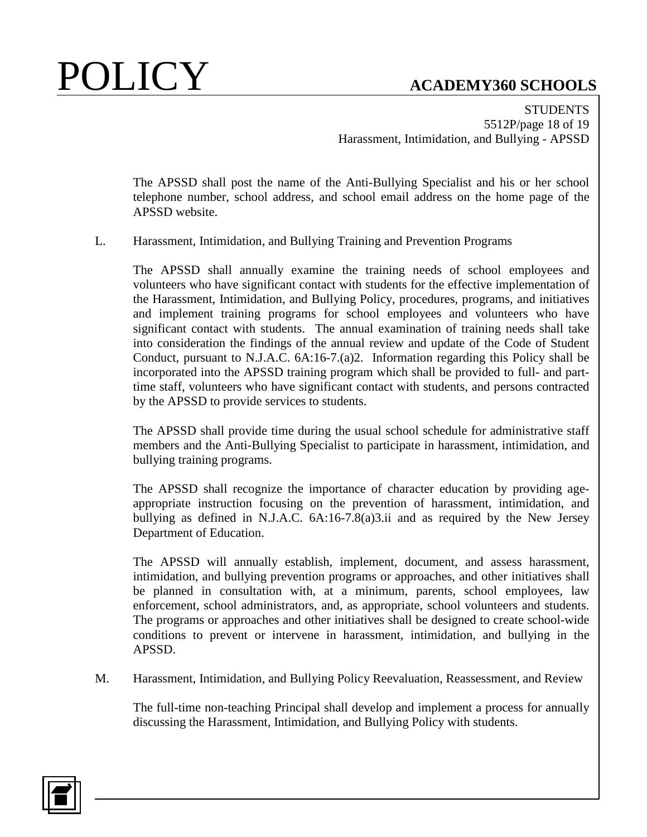**STUDENTS** 5512P/page 18 of 19 Harassment, Intimidation, and Bullying - APSSD

The APSSD shall post the name of the Anti-Bullying Specialist and his or her school telephone number, school address, and school email address on the home page of the APSSD website.

L. Harassment, Intimidation, and Bullying Training and Prevention Programs

The APSSD shall annually examine the training needs of school employees and volunteers who have significant contact with students for the effective implementation of the Harassment, Intimidation, and Bullying Policy, procedures, programs, and initiatives and implement training programs for school employees and volunteers who have significant contact with students. The annual examination of training needs shall take into consideration the findings of the annual review and update of the Code of Student Conduct, pursuant to N.J.A.C. 6A:16-7.(a)2. Information regarding this Policy shall be incorporated into the APSSD training program which shall be provided to full- and parttime staff, volunteers who have significant contact with students, and persons contracted by the APSSD to provide services to students.

The APSSD shall provide time during the usual school schedule for administrative staff members and the Anti-Bullying Specialist to participate in harassment, intimidation, and bullying training programs.

The APSSD shall recognize the importance of character education by providing ageappropriate instruction focusing on the prevention of harassment, intimidation, and bullying as defined in N.J.A.C. 6A:16-7.8(a)3.ii and as required by the New Jersey Department of Education.

The APSSD will annually establish, implement, document, and assess harassment, intimidation, and bullying prevention programs or approaches, and other initiatives shall be planned in consultation with, at a minimum, parents, school employees, law enforcement, school administrators, and, as appropriate, school volunteers and students. The programs or approaches and other initiatives shall be designed to create school-wide conditions to prevent or intervene in harassment, intimidation, and bullying in the APSSD.

M. Harassment, Intimidation, and Bullying Policy Reevaluation, Reassessment, and Review

The full-time non-teaching Principal shall develop and implement a process for annually discussing the Harassment, Intimidation, and Bullying Policy with students.